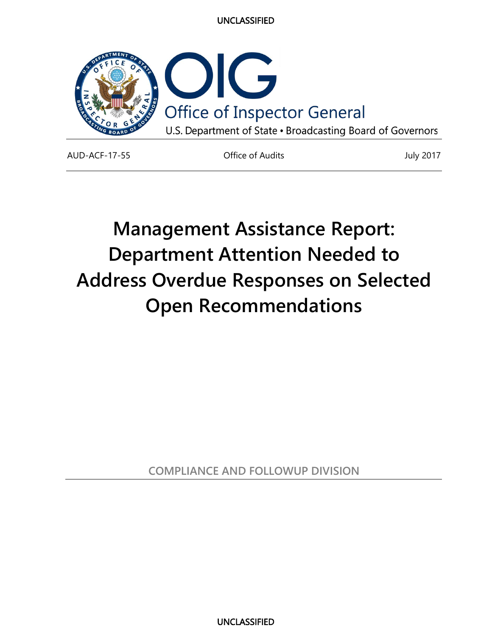

AUD-ACF-17-55 Office of Audits July 2017

# **Department Attention Needed to Management Assistance Report: Address Overdue Responses on Selected Open Recommendations**

**COMPLIANCE AND FOLLOWUP DIVISION**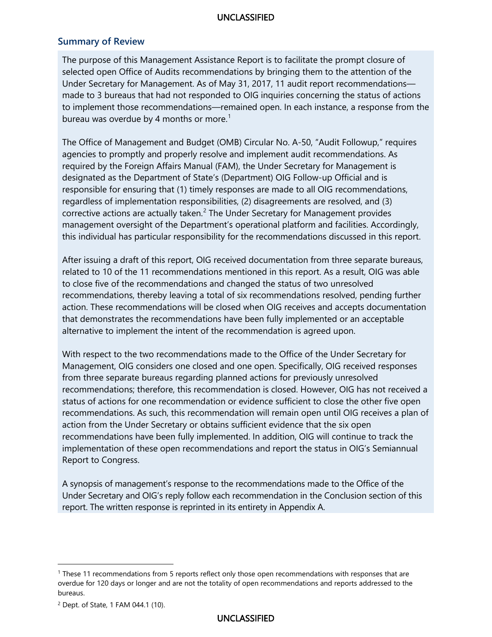#### **Summary of Review**

bureau was overdue by 4 months or more. $^1$  $^1$ The purpose of this Management Assistance Report is to facilitate the prompt closure of selected open Office of Audits recommendations by bringing them to the attention of the Under Secretary for Management. As of May 31, 2017, 11 audit report recommendations made to 3 bureaus that had not responded to OIG inquiries concerning the status of actions to implement those recommendations—remained open. In each instance, a response from the

 required by the Foreign Affairs Manual (FAM), the Under Secretary for Management is The Office of Management and Budget (OMB) Circular No. A-50, "Audit Followup," requires agencies to promptly and properly resolve and implement audit recommendations. As designated as the Department of State's (Department) OIG Follow-up Official and is responsible for ensuring that (1) timely responses are made to all OIG recommendations, regardless of implementation responsibilities, (2) disagreements are resolved, and (3) corrective actions are actually taken. $<sup>2</sup>$  The Under Secretary for Management provides</sup> management oversight of the Department's operational platform and facilities. Accordingly, this individual has particular responsibility for the recommendations discussed in this report.

After issuing a draft of this report, OIG received documentation from three separate bureaus, related to 10 of the 11 recommendations mentioned in this report. As a result, OIG was able to close five of the recommendations and changed the status of two unresolved recommendations, thereby leaving a total of six recommendations resolved, pending further action. These recommendations will be closed when OIG receives and accepts documentation that demonstrates the recommendations have been fully implemented or an acceptable alternative to implement the intent of the recommendation is agreed upon.

 Management, OIG considers one closed and one open. Specifically, OIG received responses status of actions for one recommendation or evidence sufficient to close the other five open With respect to the two recommendations made to the Office of the Under Secretary for from three separate bureaus regarding planned actions for previously unresolved recommendations; therefore, this recommendation is closed. However, OIG has not received a recommendations. As such, this recommendation will remain open until OIG receives a plan of action from the Under Secretary or obtains sufficient evidence that the six open recommendations have been fully implemented. In addition, OIG will continue to track the implementation of these open recommendations and report the status in OIG's Semiannual Report to Congress.

A synopsis of management's response to the recommendations made to the Office of the Under Secretary and OIG's reply follow each recommendation in the Conclusion section of this report. The written response is reprinted in its entirety in Appendix A.

l

<span id="page-1-0"></span><sup>1</sup> These 11 recommendations from 5 reports reflect only those open recommendations with responses that are overdue for 120 days or longer and are not the totality of open recommendations and reports addressed to the bureaus.

<span id="page-1-1"></span><sup>2</sup> Dept. of State, 1 FAM 044.1 (10).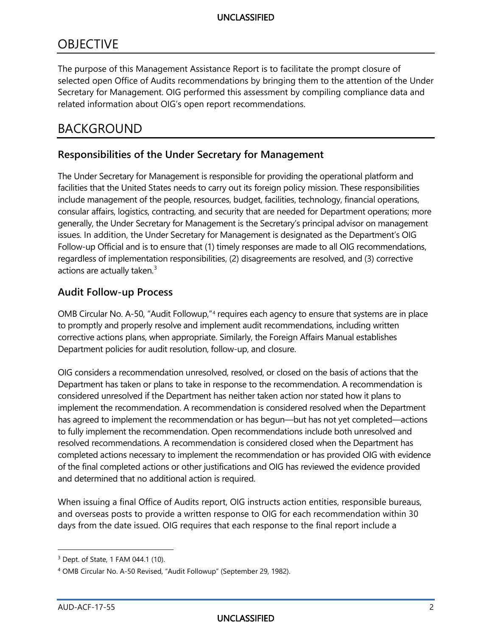# **OBJECTIVE**

The purpose of this Management Assistance Report is to facilitate the prompt closure of selected open Office of Audits recommendations by bringing them to the attention of the Under Secretary for Management. OIG performed this assessment by compiling compliance data and related information about OIG's open report recommendations.

# BACKGROUND

## **Responsibilities of the Under Secretary for Management**

 facilities that the United States needs to carry out its foreign policy mission. These responsibilities include management of the people, resources, budget, facilities, technology, financial operations, consular affairs, logistics, contracting, and security that are needed for Department operations; more Follow-up Official and is to ensure that (1) timely responses are made to all OIG recommendations, The Under Secretary for Management is responsible for providing the operational platform and generally, the Under Secretary for Management is the Secretary's principal advisor on management issues. In addition, the Under Secretary for Management is designated as the Department's OIG regardless of implementation responsibilities, (2) disagreements are resolved, and (3) corrective actions are actually taken.<sup>3</sup>

#### **Audit Follow-up Process**

 OMB Circular No. A-50, "Audit Followup,"[4](#page-2-1) requires each agency to ensure that systems are in place to promptly and properly resolve and implement audit recommendations, including written corrective actions plans, when appropriate. Similarly, the Foreign Affairs Manual establishes Department policies for audit resolution, follow-up, and closure.

 OIG considers a recommendation unresolved, resolved, or closed on the basis of actions that the Department has taken or plans to take in response to the recommendation. A recommendation is considered unresolved if the Department has neither taken action nor stated how it plans to to fully implement the recommendation. Open recommendations include both unresolved and completed actions necessary to implement the recommendation or has provided OIG with evidence implement the recommendation. A recommendation is considered resolved when the Department has agreed to implement the recommendation or has begun—but has not yet completed—actions resolved recommendations. A recommendation is considered closed when the Department has of the final completed actions or other justifications and OIG has reviewed the evidence provided and determined that no additional action is required.

When issuing a final Office of Audits report, OIG instructs action entities, responsible bureaus, and overseas posts to provide a written response to OIG for each recommendation within 30 days from the date issued. OIG requires that each response to the final report include a

<sup>-</sup>

<span id="page-2-0"></span><sup>3</sup> Dept. of State, 1 FAM 044.1 (10).

<span id="page-2-1"></span> 4 OMB Circular No. A-50 Revised, "Audit Followup" (September 29, 1982).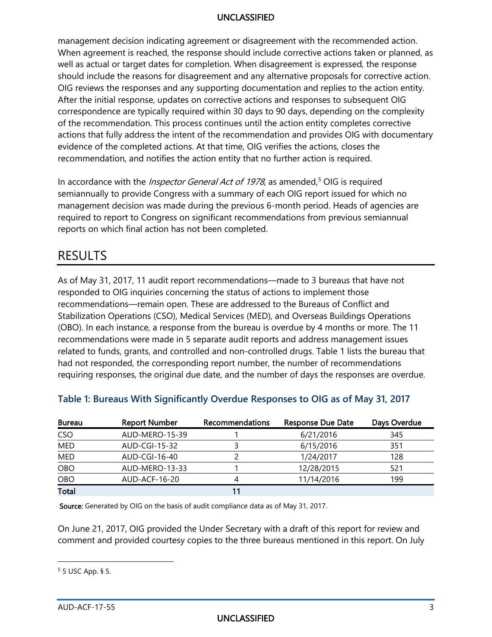When agreement is reached, the response should include corrective actions taken or planned, as should include the reasons for disagreement and any alternative proposals for corrective action. correspondence are typically required within 30 days to 90 days, depending on the complexity management decision indicating agreement or disagreement with the recommended action. well as actual or target dates for completion. When disagreement is expressed, the response OIG reviews the responses and any supporting documentation and replies to the action entity. After the initial response, updates on corrective actions and responses to subsequent OIG of the recommendation. This process continues until the action entity completes corrective actions that fully address the intent of the recommendation and provides OIG with documentary evidence of the completed actions. At that time, OIG verifies the actions, closes the recommendation, and notifies the action entity that no further action is required.

In accordance with the *Inspector General Act of 1978*, as amended,<sup>5</sup> OIG is required semiannually to provide Congress with a summary of each OIG report issued for which no management decision was made during the previous 6-month period. Heads of agencies are required to report to Congress on significant recommendations from previous semiannual reports on which final action has not been completed.

# RESULTS

As of May 31, 2017, 11 audit report recommendations—made to 3 bureaus that have not responded to OIG inquiries concerning the status of actions to implement those recommendations—remain open. These are addressed to the Bureaus of Conflict and Stabilization Operations (CSO), Medical Services (MED), and Overseas Buildings Operations (OBO). In each instance, a response from the bureau is overdue by 4 months or more. The 11 recommendations were made in 5 separate audit reports and address management issues related to funds, grants, and controlled and non-controlled drugs. Table 1 lists the bureau that had not responded, the corresponding report number, the number of recommendations requiring responses, the original due date, and the number of days the responses are overdue.

| <b>Bureau</b> | <b>Report Number</b> | Recommendations | <b>Response Due Date</b> | Days Overdue |
|---------------|----------------------|-----------------|--------------------------|--------------|
| <b>CSO</b>    | AUD-MERO-15-39       |                 | 6/21/2016                | 345          |
| <b>MED</b>    | AUD-CGI-15-32        |                 | 6/15/2016                | 351          |
| MED           | AUD-CGI-16-40        |                 | 1/24/2017                | 128          |
| OBO           | AUD-MERO-13-33       |                 | 12/28/2015               | 521          |
| <b>OBO</b>    | AUD-ACF-16-20        |                 | 11/14/2016               | 199          |
| <b>Total</b>  |                      |                 |                          |              |

#### **Table 1: Bureaus With Significantly Overdue Responses to OIG as of May 31, 2017**

Source: Generated by OIG on the basis of audit compliance data as of May 31, 2017.

 comment and provided courtesy copies to the three bureaus mentioned in this report. On July On June 21, 2017, OIG provided the Under Secretary with a draft of this report for review and

l

<span id="page-3-0"></span><sup>5 5</sup> USC App. § 5.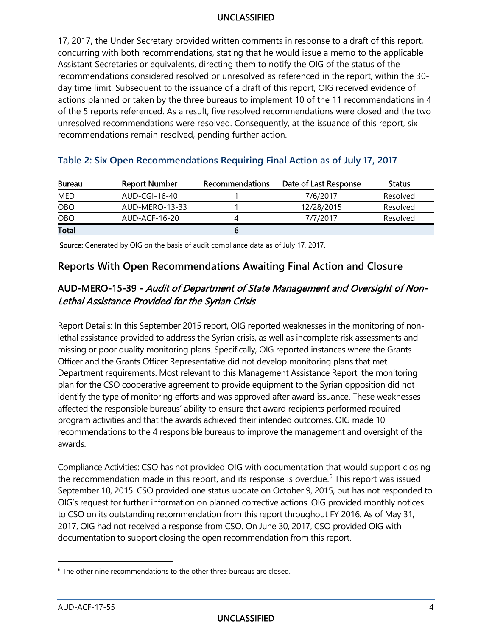17, 2017, the Under Secretary provided written comments in response to a draft of this report, concurring with both recommendations, stating that he would issue a memo to the applicable Assistant Secretaries or equivalents, directing them to notify the OIG of the status of the recommendations considered resolved or unresolved as referenced in the report, within the 30 day time limit. Subsequent to the issuance of a draft of this report, OIG received evidence of actions planned or taken by the three bureaus to implement 10 of the 11 recommendations in 4 of the 5 reports referenced. As a result, five resolved recommendations were closed and the two unresolved recommendations were resolved. Consequently, at the issuance of this report, six recommendations remain resolved, pending further action.

| <b>Bureau</b> | <b>Report Number</b> | <b>Recommendations</b> | Date of Last Response | <b>Status</b> |
|---------------|----------------------|------------------------|-----------------------|---------------|
| MED           | AUD-CGI-16-40        |                        | 7/6/2017              | Resolved      |
| OBO           | AUD-MERO-13-33       |                        | 12/28/2015            | Resolved      |
| <b>OBO</b>    | AUD-ACF-16-20        |                        | 7/7/2017              | Resolved      |
| Total         |                      |                        |                       |               |

#### **Table 2: Six Open Recommendations Requiring Final Action as of July 17, 2017**

Source: Generated by OIG on the basis of audit compliance data as of July 17, 2017.

#### **Reports With Open Recommendations Awaiting Final Action and Closure**

#### AUD-MERO-15-39 - Audit of Department of State Management and Oversight of Non-Lethal Assistance Provided for the Syrian Crisis

 plan for the CSO cooperative agreement to provide equipment to the Syrian opposition did not identify the type of monitoring efforts and was approved after award issuance. These weaknesses recommendations to the 4 responsible bureaus to improve the management and oversight of the Report Details: In this September 2015 report, OIG reported weaknesses in the monitoring of nonlethal assistance provided to address the Syrian crisis, as well as incomplete risk assessments and missing or poor quality monitoring plans. Specifically, OIG reported instances where the Grants Officer and the Grants Officer Representative did not develop monitoring plans that met Department requirements. Most relevant to this Management Assistance Report, the monitoring affected the responsible bureaus' ability to ensure that award recipients performed required program activities and that the awards achieved their intended outcomes. OIG made 10 awards.

 Compliance Activities: CSO has not provided OIG with documentation that would support closing the recommendation made in this report, and its response is overdue. [6](#page-4-0) This report was issued to CSO on its outstanding recommendation from this report throughout FY 2016. As of May 31, documentation to support closing the open recommendation from this report. 6 The other nine recommendations to the other three bureaus are closed. September 10, 2015. CSO provided one status update on October 9, 2015, but has not responded to OIG's request for further information on planned corrective actions. OIG provided monthly notices 2017, OIG had not received a response from CSO. On June 30, 2017, CSO provided OIG with

l

<span id="page-4-0"></span>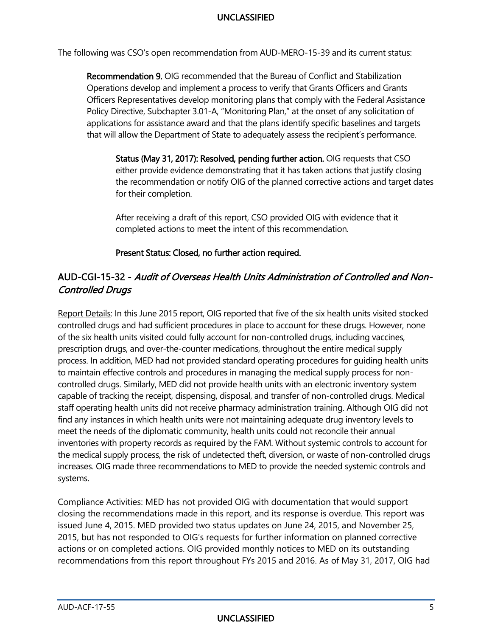The following was CSO's open recommendation from AUD-MERO-15-39 and its current status:

 Officers Representatives develop monitoring plans that comply with the Federal Assistance that will allow the Department of State to adequately assess the recipient's performance. Recommendation 9. OIG recommended that the Bureau of Conflict and Stabilization Operations develop and implement a process to verify that Grants Officers and Grants Policy Directive, Subchapter 3.01-A, "Monitoring Plan," at the onset of any solicitation of applications for assistance award and that the plans identify specific baselines and targets

 either provide evidence demonstrating that it has taken actions that justify closing Status (May 31, 2017): Resolved, pending further action. OIG requests that CSO the recommendation or notify OIG of the planned corrective actions and target dates for their completion.

 After receiving a draft of this report, CSO provided OIG with evidence that it completed actions to meet the intent of this recommendation.

Present Status: Closed, no further action required.

### AUD-CGI-15-32 - Audit of Overseas Health Units Administration of Controlled and Non-Controlled Drugs

 controlled drugs and had sufficient procedures in place to account for these drugs. However, none of the six health units visited could fully account for non-controlled drugs, including vaccines, process. In addition, MED had not provided standard operating procedures for guiding health units to maintain effective controls and procedures in managing the medical supply process for non- staff operating health units did not receive pharmacy administration training. Although OIG did not find any instances in which health units were not maintaining adequate drug inventory levels to meet the needs of the diplomatic community, health units could not reconcile their annual inventories with property records as required by the FAM. Without systemic controls to account for the medical supply process, the risk of undetected theft, diversion, or waste of non-controlled drugs increases. OIG made three recommendations to MED to provide the needed systemic controls and Report Details: In this June 2015 report, OIG reported that five of the six health units visited stocked prescription drugs, and over-the-counter medications, throughout the entire medical supply controlled drugs. Similarly, MED did not provide health units with an electronic inventory system capable of tracking the receipt, dispensing, disposal, and transfer of non-controlled drugs. Medical systems.

 2015, but has not responded to OIG's requests for further information on planned corrective Compliance Activities: MED has not provided OIG with documentation that would support closing the recommendations made in this report, and its response is overdue. This report was issued June 4, 2015. MED provided two status updates on June 24, 2015, and November 25, actions or on completed actions. OIG provided monthly notices to MED on its outstanding recommendations from this report throughout FYs 2015 and 2016. As of May 31, 2017, OIG had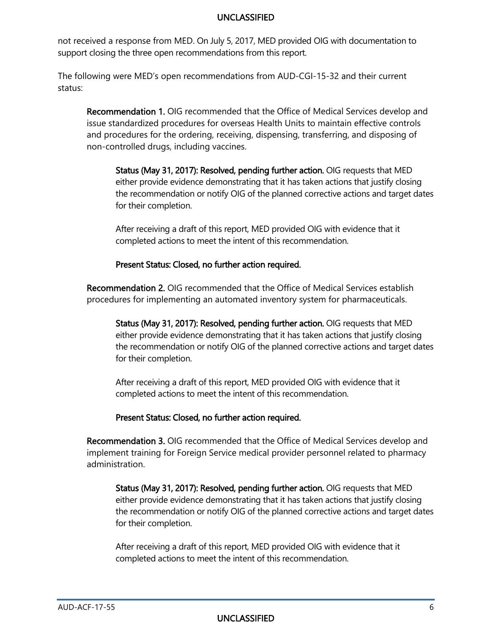not received a response from MED. On July 5, 2017, MED provided OIG with documentation to support closing the three open recommendations from this report.

The following were MED's open recommendations from AUD-CGI-15-32 and their current status:

Recommendation 1. OIG recommended that the Office of Medical Services develop and issue standardized procedures for overseas Health Units to maintain effective controls and procedures for the ordering, receiving, dispensing, transferring, and disposing of non-controlled drugs, including vaccines.

 Status (May 31, 2017): Resolved, pending further action. OIG requests that MED either provide evidence demonstrating that it has taken actions that justify closing the recommendation or notify OIG of the planned corrective actions and target dates for their completion.

 After receiving a draft of this report, MED provided OIG with evidence that it completed actions to meet the intent of this recommendation.

#### Present Status: Closed, no further action required.

Recommendation 2. OIG recommended that the Office of Medical Services establish procedures for implementing an automated inventory system for pharmaceuticals.

 Status (May 31, 2017): Resolved, pending further action. OIG requests that MED either provide evidence demonstrating that it has taken actions that justify closing the recommendation or notify OIG of the planned corrective actions and target dates for their completion.

 After receiving a draft of this report, MED provided OIG with evidence that it completed actions to meet the intent of this recommendation.

#### Present Status: Closed, no further action required.

Recommendation 3. OIG recommended that the Office of Medical Services develop and implement training for Foreign Service medical provider personnel related to pharmacy administration.

 Status (May 31, 2017): Resolved, pending further action. OIG requests that MED either provide evidence demonstrating that it has taken actions that justify closing the recommendation or notify OIG of the planned corrective actions and target dates for their completion.

 After receiving a draft of this report, MED provided OIG with evidence that it completed actions to meet the intent of this recommendation.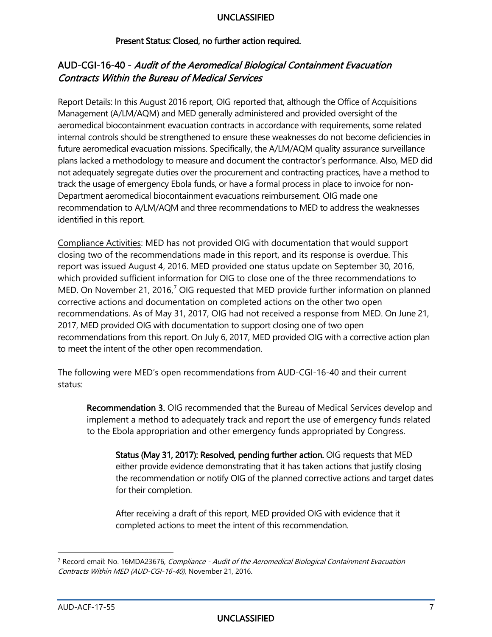#### Present Status: Closed, no further action required.

#### AUD-CGI-16-40 - Audit of the Aeromedical Biological Containment Evacuation Contracts Within the Bureau of Medical Services

 Management (A/LM/AQM) and MED generally administered and provided oversight of the aeromedical biocontainment evacuation contracts in accordance with requirements, some related internal controls should be strengthened to ensure these weaknesses do not become deficiencies in future aeromedical evacuation missions. Specifically, the A/LM/AQM quality assurance surveillance not adequately segregate duties over the procurement and contracting practices, have a method to Report Details: In this August 2016 report, OIG reported that, although the Office of Acquisitions plans lacked a methodology to measure and document the contractor's performance. Also, MED did track the usage of emergency Ebola funds, or have a formal process in place to invoice for non-Department aeromedical biocontainment evacuations reimbursement. OIG made one recommendation to A/LM/AQM and three recommendations to MED to address the weaknesses identified in this report.

 2017, MED provided OIG with documentation to support closing one of two open recommendations from this report. On July 6, 2017, MED provided OIG with a corrective action plan Compliance Activities: MED has not provided OIG with documentation that would support closing two of the recommendations made in this report, and its response is overdue. This report was issued August 4, 2016. MED provided one status update on September 30, 2016, which provided sufficient information for OIG to close one of the three recommendations to MED. On November 21, 2016, $<sup>7</sup>$  OIG requested that MED provide further information on planned</sup> corrective actions and documentation on completed actions on the other two open recommendations. As of May 31, 2017, OIG had not received a response from MED. On June 21, to meet the intent of the other open recommendation.

 The following were MED's open recommendations from AUD-CGI-16-40 and their current status:

Recommendation 3. OIG recommended that the Bureau of Medical Services develop and implement a method to adequately track and report the use of emergency funds related to the Ebola appropriation and other emergency funds appropriated by Congress.

 Status (May 31, 2017): Resolved, pending further action. OIG requests that MED either provide evidence demonstrating that it has taken actions that justify closing the recommendation or notify OIG of the planned corrective actions and target dates for their completion.

 After receiving a draft of this report, MED provided OIG with evidence that it completed actions to meet the intent of this recommendation.

-

<span id="page-7-0"></span><sup>&</sup>lt;sup>7</sup> Record email: No. 16MDA23676, Compliance - Audit of the Aeromedical Biological Containment Evacuation Contracts Within MED (AUD-CGI-16-40), November 21, 2016.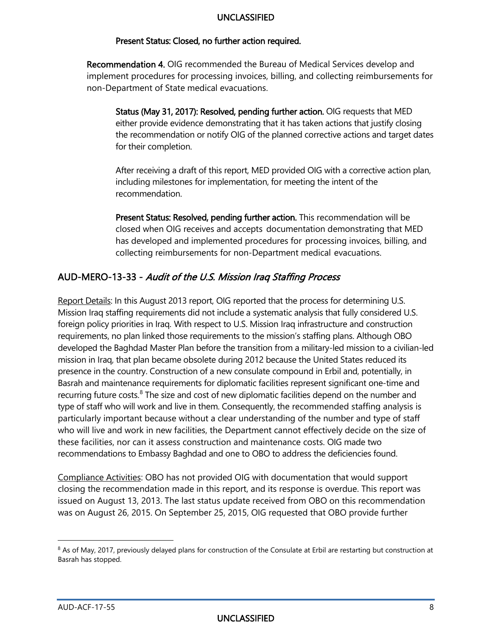#### Present Status: Closed, no further action required.

Recommendation 4. OIG recommended the Bureau of Medical Services develop and implement procedures for processing invoices, billing, and collecting reimbursements for non-Department of State medical evacuations.

 Status (May 31, 2017): Resolved, pending further action. OIG requests that MED either provide evidence demonstrating that it has taken actions that justify closing the recommendation or notify OIG of the planned corrective actions and target dates for their completion.

 After receiving a draft of this report, MED provided OIG with a corrective action plan, including milestones for implementation, for meeting the intent of the recommendation.

 Present Status: Resolved, pending further action. This recommendation will be has developed and implemented procedures for processing invoices, billing, and closed when OIG receives and accepts documentation demonstrating that MED collecting reimbursements for non-Department medical evacuations.

#### AUD-MERO-13-33 - Audit of the U.S. Mission Iraq Staffing Process

 Mission Iraq staffing requirements did not include a systematic analysis that fully considered U.S. foreign policy priorities in Iraq. With respect to U.S. Mission Iraq infrastructure and construction requirements, no plan linked those requirements to the mission's staffing plans. Although OBO developed the Baghdad Master Plan before the transition from a military-led mission to a civilian-led presence in the country. Construction of a new consulate compound in Erbil and, potentially, in recommendations to Embassy Baghdad and one to OBO to address the deficiencies found. Report Details: In this August 2013 report, OIG reported that the process for determining U.S. mission in Iraq, that plan became obsolete during 2012 because the United States reduced its Basrah and maintenance requirements for diplomatic facilities represent significant one-time and recurring future costs.<sup>8</sup> The size and cost of new diplomatic facilities depend on the number and type of staff who will work and live in them. Consequently, the recommended staffing analysis is particularly important because without a clear understanding of the number and type of staff who will live and work in new facilities, the Department cannot effectively decide on the size of these facilities, nor can it assess construction and maintenance costs. OIG made two

 issued on August 13, 2013. The last status update received from OBO on this recommendation Compliance Activities: OBO has not provided OIG with documentation that would support closing the recommendation made in this report, and its response is overdue. This report was was on August 26, 2015. On September 25, 2015, OIG requested that OBO provide further

-

<span id="page-8-0"></span><sup>&</sup>lt;sup>8</sup> As of May, 2017, previously delayed plans for construction of the Consulate at Erbil are restarting but construction at Basrah has stopped.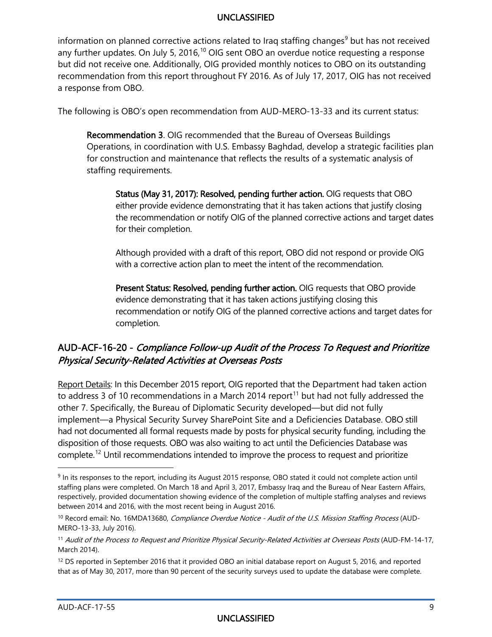recommendation from this report throughout FY 2016. As of July 17, 2017, OIG has not received information on planned corrective actions related to Iraq staffing changes<sup>[9](#page-9-0)</sup> but has not received any further updates. On July 5, 2016,  $10$  OIG sent OBO an overdue notice requesting a response but did not receive one. Additionally, OIG provided monthly notices to OBO on its outstanding a response from OBO.

The following is OBO's open recommendation from AUD-MERO-13-33 and its current status:

Recommendation 3. OIG recommended that the Bureau of Overseas Buildings Operations, in coordination with U.S. Embassy Baghdad, develop a strategic facilities plan for construction and maintenance that reflects the results of a systematic analysis of staffing requirements.

 Status (May 31, 2017): Resolved, pending further action. OIG requests that OBO either provide evidence demonstrating that it has taken actions that justify closing the recommendation or notify OIG of the planned corrective actions and target dates for their completion.

 Although provided with a draft of this report, OBO did not respond or provide OIG with a corrective action plan to meet the intent of the recommendation.

Present Status: Resolved, pending further action. OIG requests that OBO provide evidence demonstrating that it has taken actions justifying closing this recommendation or notify OIG of the planned corrective actions and target dates for completion.

#### AUD-ACF-16-20 - Compliance Follow-up Audit of the Process To Request and Prioritize Physical Security-Related Activities at Overseas Posts

 implement—a Physical Security Survey SharePoint Site and a Deficiencies Database. OBO still complete.[12](#page-9-3) Until recommendations intended to improve the process to request and prioritize Report Details: In this December 2015 report, OIG reported that the Department had taken action to address 3 of 10 recommendations in a March 2014 report<sup>[11](#page-9-2)</sup> but had not fully addressed the other 7. Specifically, the Bureau of Diplomatic Security developed—but did not fully had not documented all formal requests made by posts for physical security funding, including the disposition of those requests. OBO was also waiting to act until the Deficiencies Database was

-

<span id="page-9-0"></span><sup>9</sup> In its responses to the report, including its August 2015 response, OBO stated it could not complete action until staffing plans were completed. On March 18 and April 3, 2017, Embassy Iraq and the Bureau of Near Eastern Affairs, respectively, provided documentation showing evidence of the completion of multiple staffing analyses and reviews between 2014 and 2016, with the most recent being in August 2016.

<span id="page-9-1"></span><sup>&</sup>lt;sup>10</sup> Record email: No. 16MDA13680, Compliance Overdue Notice - Audit of the U.S. Mission Staffing Process (AUD-MERO-13-33, July 2016).

<span id="page-9-2"></span> $^{11}$  Audit of the Process to Request and Prioritize Physical Security-Related Activities at Overseas Posts (<code>AUD-FM-14-17,</code> March 2014).

<span id="page-9-3"></span> that as of May 30, 2017, more than 90 percent of the security surveys used to update the database were complete. AUD-ACF-17-55 <sup>12</sup> DS reported in September 2016 that it provided OBO an initial database report on August 5, 2016, and reported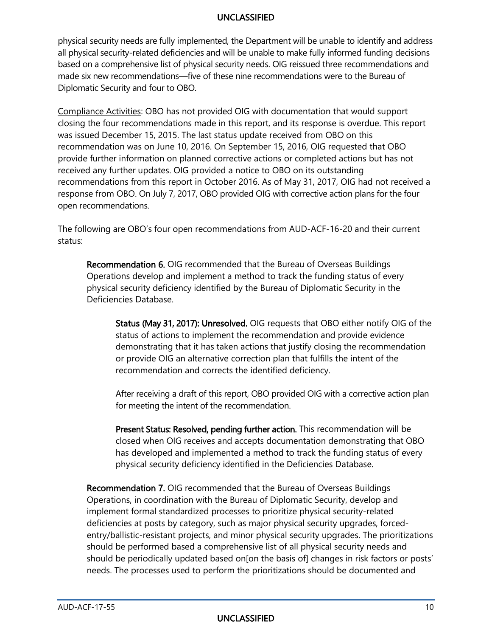physical security needs are fully implemented, the Department will be unable to identify and address all physical security-related deficiencies and will be unable to make fully informed funding decisions based on a comprehensive list of physical security needs. OIG reissued three recommendations and made six new recommendations—five of these nine recommendations were to the Bureau of Diplomatic Security and four to OBO.

 closing the four recommendations made in this report, and its response is overdue. This report was issued December 15, 2015. The last status update received from OBO on this recommendation was on June 10, 2016. On September 15, 2016, OIG requested that OBO response from OBO. On July 7, 2017, OBO provided OIG with corrective action plans for the four Compliance Activities: OBO has not provided OIG with documentation that would support provide further information on planned corrective actions or completed actions but has not received any further updates. OIG provided a notice to OBO on its outstanding recommendations from this report in October 2016. As of May 31, 2017, OIG had not received a open recommendations.

 The following are OBO's four open recommendations from AUD-ACF-16-20 and their current status:

 Operations develop and implement a method to track the funding status of every Recommendation 6. OIG recommended that the Bureau of Overseas Buildings physical security deficiency identified by the Bureau of Diplomatic Security in the Deficiencies Database.

Status (May 31, 2017): Unresolved. OIG requests that OBO either notify OIG of the status of actions to implement the recommendation and provide evidence demonstrating that it has taken actions that justify closing the recommendation or provide OIG an alternative correction plan that fulfills the intent of the recommendation and corrects the identified deficiency.

 After receiving a draft of this report, OBO provided OIG with a corrective action plan for meeting the intent of the recommendation.

Present Status: Resolved, pending further action. This recommendation will be closed when OIG receives and accepts documentation demonstrating that OBO has developed and implemented a method to track the funding status of every physical security deficiency identified in the Deficiencies Database.

Recommendation 7. OIG recommended that the Bureau of Overseas Buildings Operations, in coordination with the Bureau of Diplomatic Security, develop and implement formal standardized processes to prioritize physical security-related deficiencies at posts by category, such as major physical security upgrades, forcedentry/ballistic-resistant projects, and minor physical security upgrades. The prioritizations should be performed based a comprehensive list of all physical security needs and should be periodically updated based on[on the basis of] changes in risk factors or posts' needs. The processes used to perform the prioritizations should be documented and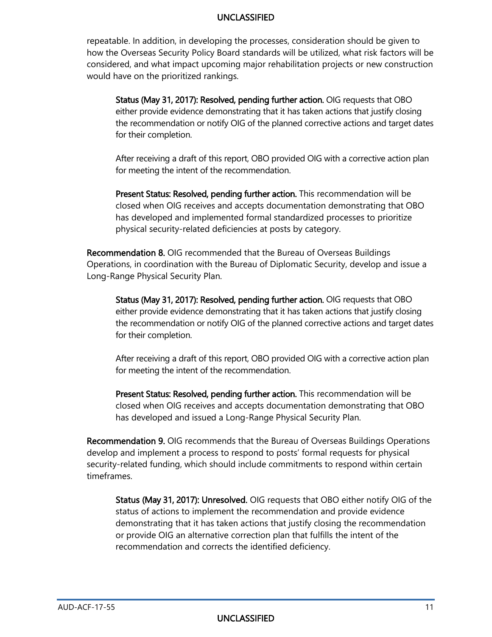repeatable. In addition, in developing the processes, consideration should be given to how the Overseas Security Policy Board standards will be utilized, what risk factors will be considered, and what impact upcoming major rehabilitation projects or new construction would have on the prioritized rankings.

 Status (May 31, 2017): Resolved, pending further action. OIG requests that OBO either provide evidence demonstrating that it has taken actions that justify closing the recommendation or notify OIG of the planned corrective actions and target dates for their completion.

 After receiving a draft of this report, OBO provided OIG with a corrective action plan for meeting the intent of the recommendation.

Present Status: Resolved, pending further action. This recommendation will be closed when OIG receives and accepts documentation demonstrating that OBO has developed and implemented formal standardized processes to prioritize physical security-related deficiencies at posts by category.

Recommendation 8. OIG recommended that the Bureau of Overseas Buildings Operations, in coordination with the Bureau of Diplomatic Security, develop and issue a Long-Range Physical Security Plan.

 Status (May 31, 2017): Resolved, pending further action. OIG requests that OBO either provide evidence demonstrating that it has taken actions that justify closing the recommendation or notify OIG of the planned corrective actions and target dates for their completion.

 After receiving a draft of this report, OBO provided OIG with a corrective action plan for meeting the intent of the recommendation.

Present Status: Resolved, pending further action. This recommendation will be closed when OIG receives and accepts documentation demonstrating that OBO has developed and issued a Long-Range Physical Security Plan.

Recommendation 9. OIG recommends that the Bureau of Overseas Buildings Operations develop and implement a process to respond to posts' formal requests for physical security-related funding, which should include commitments to respond within certain timeframes.

Status (May 31, 2017): Unresolved. OIG requests that OBO either notify OIG of the status of actions to implement the recommendation and provide evidence demonstrating that it has taken actions that justify closing the recommendation or provide OIG an alternative correction plan that fulfills the intent of the recommendation and corrects the identified deficiency.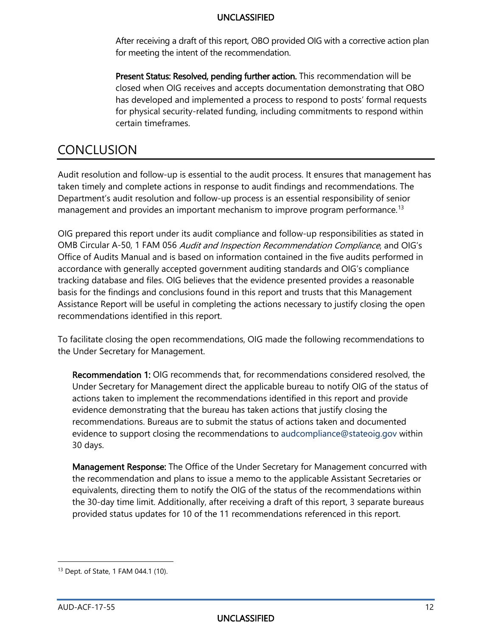After receiving a draft of this report, OBO provided OIG with a corrective action plan for meeting the intent of the recommendation.

Present Status: Resolved, pending further action. This recommendation will be closed when OIG receives and accepts documentation demonstrating that OBO has developed and implemented a process to respond to posts' formal requests for physical security-related funding, including commitments to respond within certain timeframes.

CONCLUSION<br>Audit resolution and follow-up is essential to the audit process. It ensures that management has taken timely and complete actions in response to audit findings and recommendations. The Department's audit resolution and follow-up process is an essential responsibility of senior management and provides an important mechanism to improve program performance. [13](#page-12-0) 

OIG prepared this report under its audit compliance and follow-up responsibilities as stated in OMB Circular A-50, 1 FAM 056 Audit and Inspection Recommendation Compliance, and OIG's Office of Audits Manual and is based on information contained in the five audits performed in accordance with generally accepted government auditing standards and OIG's compliance tracking database and files. OIG believes that the evidence presented provides a reasonable basis for the findings and conclusions found in this report and trusts that this Management Assistance Report will be useful in completing the actions necessary to justify closing the open recommendations identified in this report.

 the Under Secretary for Management. To facilitate closing the open recommendations, OIG made the following recommendations to

<span id="page-12-1"></span>Recommendation 1: OIG recommends that, for recommendations considered resolved, the Under Secretary for Management direct the applicable bureau to notify OIG of the status of actions taken to implement the recommendations identified in this report and provide evidence demonstrating that the bureau has taken actions that justify closing the recommendations. Bureaus are to submit the status of actions taken and documented evidence to support closing the recommendations to [audcompliance@stateoig.gov](mailto:audcompliance@stateoig.gov) within 30 days.

 the 30-day time limit. Additionally, after receiving a draft of this report, 3 separate bureaus provided status updates for 10 of the 11 recommendations referenced in this report. Management Response: The Office of the Under Secretary for Management concurred with the recommendation and plans to issue a memo to the applicable Assistant Secretaries or equivalents, directing them to notify the OIG of the status of the recommendations within provided status updates for 10 of the 11 recommendations referenced in this report.<br>
13 Dept. of State, 1 FAM 044.1 (10).

l

<span id="page-12-0"></span>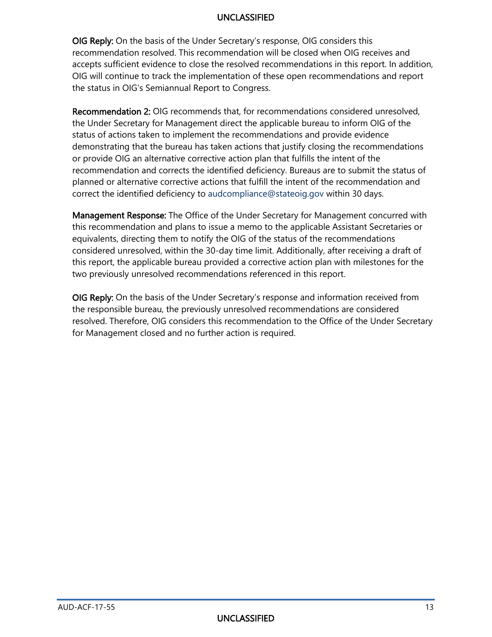**OIG Reply:** On the basis of the Under Secretary's response, OIG considers this recommendation resolved. This recommendation will be closed when OIG receives and accepts sufficient evidence to close the resolved recommendations in this report. In addition, OIG will continue to track the implementation of these open recommendations and report the status in OIG's Semiannual Report to Congress.

<span id="page-13-0"></span> the Under Secretary for Management direct the applicable bureau to inform OIG of the Recommendation 2: OIG recommends that, for recommendations considered unresolved, status of actions taken to implement the recommendations and provide evidence demonstrating that the bureau has taken actions that justify closing the recommendations or provide OIG an alternative corrective action plan that fulfills the intent of the recommendation and corrects the identified deficiency. Bureaus are to submit the status of planned or alternative corrective actions that fulfill the intent of the recommendation and correct the identified deficiency to [audcompliance@stateoig.gov](mailto:audcompliance@stateoig.gov) within 30 days.

two previously unresolved recommendations referenced in this report. Management Response: The Office of the Under Secretary for Management concurred with this recommendation and plans to issue a memo to the applicable Assistant Secretaries or equivalents, directing them to notify the OIG of the status of the recommendations considered unresolved, within the 30-day time limit. Additionally, after receiving a draft of this report, the applicable bureau provided a corrective action plan with milestones for the

two previously unresolved recommendations referenced in this report.<br>**OIG Reply:** On the basis of the Under Secretary's response and information received from the responsible bureau, the previously unresolved recommendations are considered resolved. Therefore, OIG considers this recommendation to the Office of the Under Secretary for Management closed and no further action is required.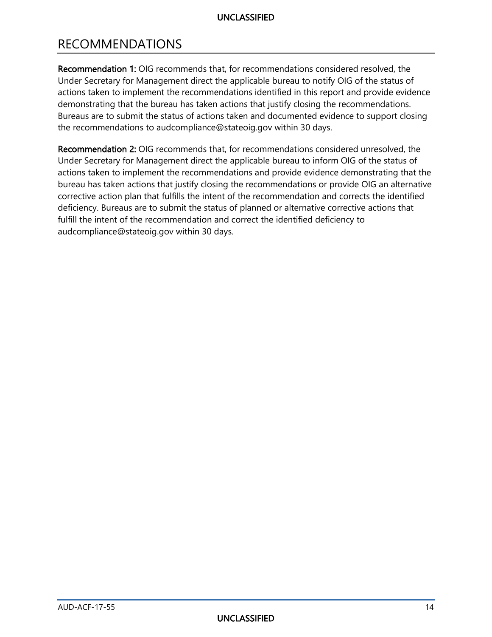# RECOMMENDATIONS

 [Under Secretary for Management direct the applicable bureau to notify OIG of the status of](#page-12-1)  [Recommendation 1: OIG recommends that, for recommendations considered resolved, the](#page-12-1)  [actions taken to implement the recommendations identified in this report and provide evidence](#page-12-1)  [demonstrating that the bureau has taken actions that justify closing the recommendations.](#page-12-1)  [Bureaus are to submit the status of actions taken and documented evidence to support closing](#page-12-1) [the recommendations to audcompliance@stateoig.gov within 30 days.](#page-12-1) 

 [Under Secretary for Management direct the applicable bureau to inform OIG of the status of](#page-13-0)  [Recommendation 2: OIG recommends that, for recommendations considered unresolved, the](#page-13-0)  [actions taken to implement the recommendations and provide evidence demonstrating that the](#page-13-0)  [bureau has taken actions that justify closing the recommendations or provide OIG an alternative](#page-13-0)  [corrective action plan that fulfills the intent of the recommendation and corrects the identified](#page-13-0)  [deficiency. Bureaus are to submit the status of planned or alternative corrective actions that](#page-13-0)  [fulfill the intent of the recommendation and correct the identified deficiency to](#page-13-0)  [audcompliance@stateoig.gov within 30 days.](#page-13-0)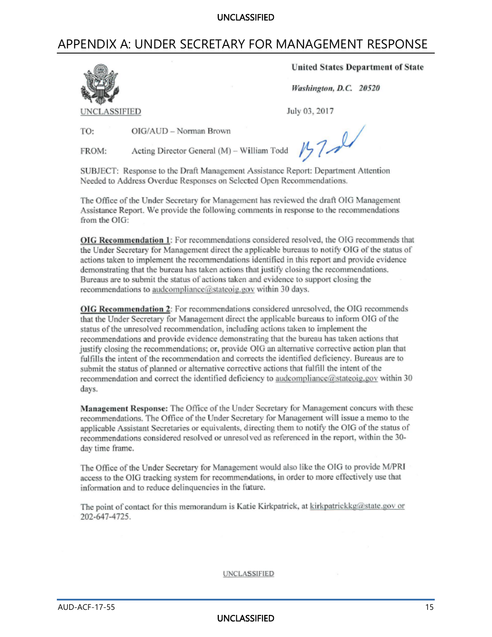# APPENDIX A: UNDER SECRETARY FOR MANAGEMENT RESPONSE



**United States Department of State** 

Washington, D.C. 20520

July 03, 2017

TO: OIG/AUD - Norman Brown

Acting Director General (M) - William Todd FROM:

 $157 - 24$ 

SUBJECT: Response to the Draft Management Assistance Report: Department Attention Needed to Address Overdue Responses on Selected Open Recommendations.

The Office of the Under Secretary for Management has reviewed the draft OIG Management Assistance Report. We provide the following comments in response to the recommendations from the OIG:

OIG Recommendation 1: For recommendations considered resolved, the OIG recommends that the Under Secretary for Management direct the applicable bureaus to notify OIG of the status of actions taken to implement the recommendations identified in this report and provide evidence demonstrating that the bureau has taken actions that justify closing the recommendations. Bureaus are to submit the status of actions taken and evidence to support closing the recommendations to audcompliance@stateoig.gov within 30 days.

OIG Recommendation 2: For recommendations considered unresolved, the OIG recommends that the Under Secretary for Management direct the applicable bureaus to inform OIG of the status of the unresolved recommendation, including actions taken to implement the recommendations and provide evidence demonstrating that the bureau has taken actions that justify closing the recommendations; or, provide OIG an alternative corrective action plan that fulfills the intent of the recommendation and corrects the identified deficiency. Bureaus are to submit the status of planned or alternative corrective actions that fulfill the intent of the recommendation and correct the identified deficiency to audcompliance@stateoig.gov within 30 days.

Management Response: The Office of the Under Secretary for Management concurs with these recommendations. The Office of the Under Secretary for Management will issue a memo to the applicable Assistant Secretaries or equivalents, directing them to notify the OIG of the status of recommendations considered resolved or unresolved as referenced in the report, within the 30day time frame.

The Office of the Under Secretary for Management would also like the OIG to provide M/PRI access to the OIG tracking system for recommendations, in order to more effectively use that information and to reduce delinquencies in the future.

The point of contact for this memorandum is Katie Kirkpatrick, at kirkpatrickkg@state.gov or 202-647-4725.

UNCLASSIFIED